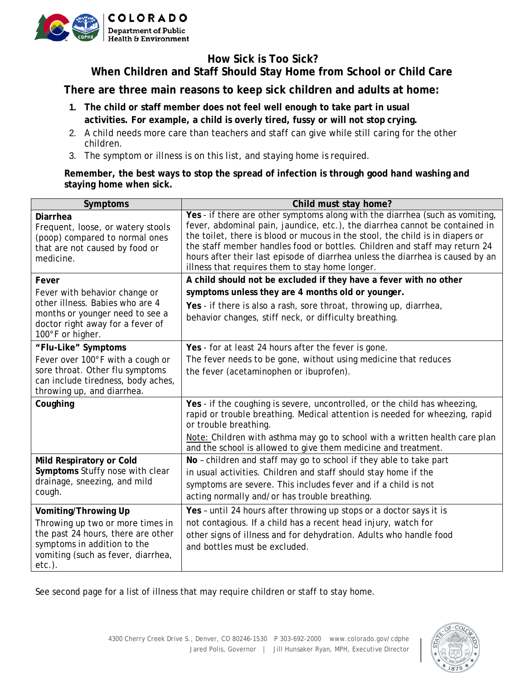

## **How Sick is Too Sick? When Children and Staff Should Stay Home from School or Child Care**

**There are three main reasons to keep sick children and adults at home:**

- **1. The child or staff member does not feel well enough to take part in usual activities. For example, a child is overly tired, fussy or will not stop crying.**
- 2. A child needs more care than teachers and staff can give while still caring for the other children.
- 3. The symptom or illness is on this list, and staying home is required.

## **Remember, the best ways to stop the spread of infection is through good hand washing and staying home when sick.**

| Symptoms                                                                                                                                                 | Child must stay home?                                                                                                                                                                                                                                                                                                                                                                                                                                           |
|----------------------------------------------------------------------------------------------------------------------------------------------------------|-----------------------------------------------------------------------------------------------------------------------------------------------------------------------------------------------------------------------------------------------------------------------------------------------------------------------------------------------------------------------------------------------------------------------------------------------------------------|
| <b>Diarrhea</b><br>Frequent, loose, or watery stools<br>(poop) compared to normal ones<br>that are not caused by food or<br>medicine.                    | Yes - if there are other symptoms along with the diarrhea (such as vomiting,<br>fever, abdominal pain, jaundice, etc.), the diarrhea cannot be contained in<br>the toilet, there is blood or mucous in the stool, the child is in diapers or<br>the staff member handles food or bottles. Children and staff may return 24<br>hours after their last episode of diarrhea unless the diarrhea is caused by an<br>illness that requires them to stay home longer. |
| Fever<br>Fever with behavior change or                                                                                                                   | A child should not be excluded if they have a fever with no other<br>symptoms unless they are 4 months old or younger.                                                                                                                                                                                                                                                                                                                                          |
| other illness. Babies who are 4<br>months or younger need to see a<br>doctor right away for a fever of<br>100°F or higher.                               | Yes - if there is also a rash, sore throat, throwing up, diarrhea,<br>behavior changes, stiff neck, or difficulty breathing.                                                                                                                                                                                                                                                                                                                                    |
| "Flu-Like" Symptoms                                                                                                                                      | Yes - for at least 24 hours after the fever is gone.                                                                                                                                                                                                                                                                                                                                                                                                            |
| Fever over 100°F with a cough or<br>sore throat. Other flu symptoms<br>can include tiredness, body aches,<br>throwing up, and diarrhea.                  | The fever needs to be gone, without using medicine that reduces<br>the fever (acetaminophen or ibuprofen).                                                                                                                                                                                                                                                                                                                                                      |
| Coughing                                                                                                                                                 | Yes - if the coughing is severe, uncontrolled, or the child has wheezing,<br>rapid or trouble breathing. Medical attention is needed for wheezing, rapid<br>or trouble breathing.                                                                                                                                                                                                                                                                               |
|                                                                                                                                                          | Note: Children with asthma may go to school with a written health care plan<br>and the school is allowed to give them medicine and treatment.                                                                                                                                                                                                                                                                                                                   |
| Mild Respiratory or Cold<br>Symptoms Stuffy nose with clear<br>drainage, sneezing, and mild<br>cough.                                                    | No - children and staff may go to school if they able to take part<br>in usual activities. Children and staff should stay home if the<br>symptoms are severe. This includes fever and if a child is not<br>acting normally and/or has trouble breathing.                                                                                                                                                                                                        |
| Vomiting/Throwing Up                                                                                                                                     | Yes - until 24 hours after throwing up stops or a doctor says it is                                                                                                                                                                                                                                                                                                                                                                                             |
| Throwing up two or more times in<br>the past 24 hours, there are other<br>symptoms in addition to the<br>vomiting (such as fever, diarrhea,<br>$etc.$ ). | not contagious. If a child has a recent head injury, watch for<br>other signs of illness and for dehydration. Adults who handle food<br>and bottles must be excluded.                                                                                                                                                                                                                                                                                           |

See second page for a list of illness that may require children or staff to stay home.